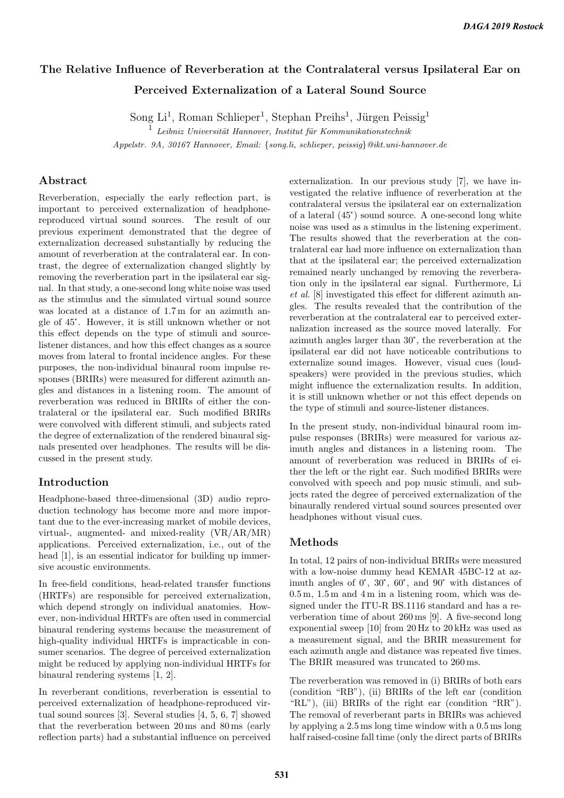# The Relative Influence of Reverberation at the Contralateral versus Ipsilateral Ear on Perceived Externalization of a Lateral Sound Source

Song Li<sup>1</sup>, Roman Schlieper<sup>1</sup>, Stephan Preihs<sup>1</sup>, Jürgen Peissig<sup>1</sup>

 $\frac{1}{1}$  Leibniz Universität Hannover, Institut für Kommunikationstechnik

Appelstr. 9A, 30167 Hannover, Email: {song.li, schlieper, peissig}@ikt.uni-hannover.de

## Abstract

Reverberation, especially the early reflection part, is important to perceived externalization of headphonereproduced virtual sound sources. The result of our previous experiment demonstrated that the degree of externalization decreased substantially by reducing the amount of reverberation at the contralateral ear. In contrast, the degree of externalization changed slightly by removing the reverberation part in the ipsilateral ear signal. In that study, a one-second long white noise was used as the stimulus and the simulated virtual sound source was located at a distance of 1.7 m for an azimuth angle of 45°. However, it is still unknown whether or not this effect depends on the type of stimuli and sourcelistener distances, and how this effect changes as a source moves from lateral to frontal incidence angles. For these purposes, the non-individual binaural room impulse responses (BRIRs) were measured for different azimuth angles and distances in a listening room. The amount of reverberation was reduced in BRIRs of either the contralateral or the ipsilateral ear. Such modified BRIRs were convolved with different stimuli, and subjects rated the degree of externalization of the rendered binaural signals presented over headphones. The results will be discussed in the present study.

### Introduction

Headphone-based three-dimensional (3D) audio reproduction technology has become more and more important due to the ever-increasing market of mobile devices, virtual-, augmented- and mixed-reality (VR/AR/MR) applications. Perceived externalization, i.e., out of the head [1], is an essential indicator for building up immersive acoustic environments.

In free-field conditions, head-related transfer functions (HRTFs) are responsible for perceived externalization, which depend strongly on individual anatomies. However, non-individual HRTFs are often used in commercial binaural rendering systems because the measurement of high-quality individual HRTFs is impracticable in consumer scenarios. The degree of perceived externalization might be reduced by applying non-individual HRTFs for binaural rendering systems [1, 2].

In reverberant conditions, reverberation is essential to perceived externalization of headphone-reproduced virtual sound sources [3]. Several studies [4, 5, 6, 7] showed that the reverberation between 20 ms and 80 ms (early reflection parts) had a substantial influence on perceived externalization. In our previous study [7], we have investigated the relative influence of reverberation at the contralateral versus the ipsilateral ear on externalization of a lateral (45°) sound source. A one-second long white contralateral versus the ipsilateral ear on externalization noise was used as a stimulus in the listening experiment. The results showed that the reverberation at the contralateral ear had more influence on externalization than that at the ipsilateral ear; the perceived externalization remained nearly unchanged by removing the reverberation only in the ipsilateral ear signal. Furthermore, Li et al. [8] investigated this effect for different azimuth angles. The results revealed that the contribution of the reverberation at the contralateral ear to perceived exter-azimuth angles larger than 30°, the reverberation at the nalization increased as the source moved laterally. For ipsilateral ear did not have noticeable contributions to externalize sound images. However, visual cues (loudspeakers) were provided in the previous studies, which might influence the externalization results. In addition, it is still unknown whether or not this effect depends on the type of stimuli and source-listener distances.

In the present study, non-individual binaural room impulse responses (BRIRs) were measured for various azimuth angles and distances in a listening room. The amount of reverberation was reduced in BRIRs of either the left or the right ear. Such modified BRIRs were convolved with speech and pop music stimuli, and subjects rated the degree of perceived externalization of the binaurally rendered virtual sound sources presented over headphones without visual cues.

#### Methods

In total, 12 pairs of non-individual BRIRs were measured with a low-noise dummy head KEMAR 45BC-12 at azimuth angles of 0°, 30°, 60°, and 90° with distances of 0.5 m, 1.5 m and 4 m in a listening room, which was designed under the ITU-R BS.1116 standard and has a reverberation time of about 260 ms [9]. A five-second long exponential sweep [10] from 20 Hz to 20 kHz was used as a measurement signal, and the BRIR measurement for each azimuth angle and distance was repeated five times. The BRIR measured was truncated to 260 ms.

The reverberation was removed in (i) BRIRs of both ears (condition "RB"), (ii) BRIRs of the left ear (condition "RL"), (iii) BRIRs of the right ear (condition "RR"). The removal of reverberant parts in BRIRs was achieved by applying a 2.5 ms long time window with a 0.5 ms long half raised-cosine fall time (only the direct parts of BRIRs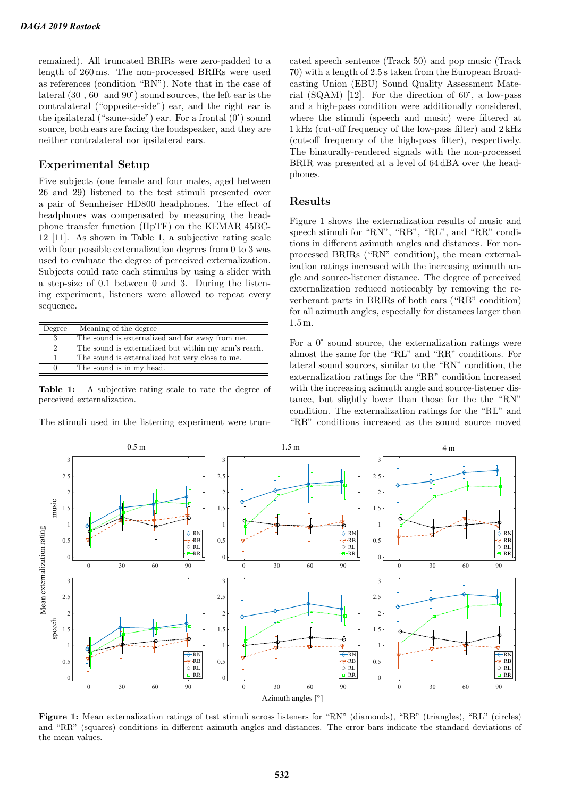remained). All truncated BRIRs were zero-padded to a length of 260 ms. The non-processed BRIRs were used as references (condition "RN"). Note that in the case of length of 260 ms. The non-processed BRIRs were used<br>as references (condition "RN"). Note that in the case of<br>lateral  $(30^{\circ}, 60^{\circ}$  and  $90^{\circ})$  sound sources, the left ear is the contralateral ("opposite-side") ear, and the right ear is lateral  $(30^{\circ}, 60^{\circ}$  and  $90^{\circ})$  sound sources, the left ear is the contralateral ("opposite-side") ear. and the right ear is the ipsilateral ("same-side") ear. For a frontal  $(0^{\circ})$  sound source, both ears are facing the loudspeaker, and they are neither contralateral nor ipsilateral ears.

#### Experimental Setup

Five subjects (one female and four males, aged between 26 and 29) listened to the test stimuli presented over a pair of Sennheiser HD800 headphones. The effect of headphones was compensated by measuring the headphone transfer function (HpTF) on the KEMAR 45BC-12 [11]. As shown in Table 1, a subjective rating scale with four possible externalization degrees from 0 to 3 was used to evaluate the degree of perceived externalization. Subjects could rate each stimulus by using a slider with a step-size of 0.1 between 0 and 3. During the listening experiment, listeners were allowed to repeat every sequence.

| Degree        | Meaning of the degree                                |
|---------------|------------------------------------------------------|
| -3            | The sound is externalized and far away from me.      |
| $\mathcal{D}$ | The sound is externalized but within my arm's reach. |
|               | The sound is externalized but very close to me.      |
| $^{(1)}$      | The sound is in my head.                             |

Table 1: A subjective rating scale to rate the degree of perceived externalization.

The stimuli used in the listening experiment were trun-

cated speech sentence (Track 50) and pop music (Track 70) with a length of 2.5 s taken from the European Broadcasting Union (EBU) Sound Quality Assessment Mate-70) with a length of 2.5 s taken from the European Broadcasting Union (EBU) Sound Quality Assessment Material (SQAM) [12]. For the direction of 60°, a low-pass and a high-pass condition were additionally considered, where the stimuli (speech and music) were filtered at 1 kHz (cut-off frequency of the low-pass filter) and 2 kHz (cut-off frequency of the high-pass filter), respectively. The binaurally-rendered signals with the non-processed BRIR was presented at a level of 64 dBA over the headphones.

#### Results

Figure 1 shows the externalization results of music and speech stimuli for "RN", "RB", "RL", and "RR" conditions in different azimuth angles and distances. For nonprocessed BRIRs ("RN" condition), the mean externalization ratings increased with the increasing azimuth angle and source-listener distance. The degree of perceived externalization reduced noticeably by removing the reverberant parts in BRIRs of both ears ("RB" condition) for all azimuth angles, especially for distances larger than 1.5 m.

For a 0° sound source, the externalization ratings were almost the same for the "RL" and "RR" conditions. For lateral sound sources, similar to the "RN" condition, the externalization ratings for the "RR" condition increased with the increasing azimuth angle and source-listener distance, but slightly lower than those for the the "RN" condition. The externalization ratings for the "RL" and "RB" conditions increased as the sound source moved



Figure 1: Mean externalization ratings of test stimuli across listeners for "RN" (diamonds), "RB" (triangles), "RL" (circles) and "RR" (squares) conditions in different azimuth angles and distances. The error bars indicate the standard deviations of the mean values.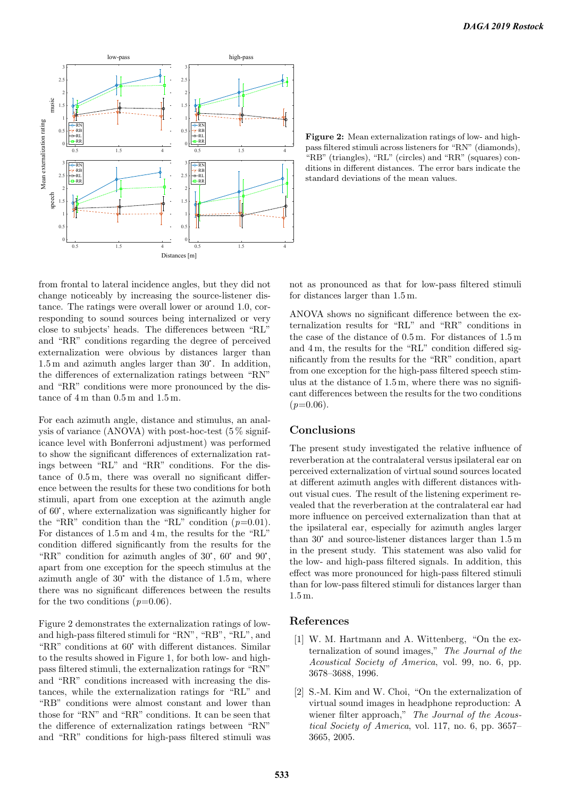

Figure 2: Mean externalization ratings of low- and highpass filtered stimuli across listeners for "RN" (diamonds), "RB" (triangles), "RL" (circles) and "RR" (squares) conditions in different distances. The error bars indicate the standard deviations of the mean values.

from frontal to lateral incidence angles, but they did not change noticeably by increasing the source-listener distance. The ratings were overall lower or around 1.0, corresponding to sound sources being internalized or very close to subjects' heads. The differences between "RL" and "RR" conditions regarding the degree of perceived externalization were obvious by distances larger than 1.5 m and azimuth angles larger than 30°. In addition, externalization were obvious by distances larger than the differences of externalization ratings between "RN" and "RR" conditions were more pronounced by the distance of 4 m than 0.5 m and 1.5 m.

For each azimuth angle, distance and stimulus, an analysis of variance (ANOVA) with post-hoc-test (5 % significance level with Bonferroni adjustment) was performed to show the significant differences of externalization ratings between "RL" and "RR" conditions. For the distance of 0.5 m, there was overall no significant difference between the results for these two conditions for both stimuli, apart from one exception at the azimuth angle of 60°, where externalization was significantly higher for stimuli, apart from one exception at the azimuth angle the "RR" condition than the "RL" condition  $(p=0.01)$ . For distances of 1.5 m and 4 m, the results for the "RL" condition differed significantly from the results for the "RR" condition for azimuth angles of  $30^{\circ}$ ,  $60^{\circ}$  and  $90^{\circ}$ , condition differed significantly from the results for the apart from one exception for the speech stimulus at the "RR" condition for azimuth angles of  $30^{\circ}$ ,  $60^{\circ}$  and  $90^{\circ}$ , apart from one exception for the speech stimulus at the azimuth angle of  $30^{\circ}$  with the distance of 1.5 m, where there was no significant differences between the results for the two conditions  $(p=0.06)$ .

Figure 2 demonstrates the externalization ratings of lowand high-pass filtered stimuli for "RN", "RB", "RL", and "RR" conditions at 60° with different distances. Similar to the results showed in Figure 1, for both low- and highpass filtered stimuli, the externalization ratings for "RN" and "RR" conditions increased with increasing the distances, while the externalization ratings for "RL" and "RB" conditions were almost constant and lower than those for "RN" and "RR" conditions. It can be seen that the difference of externalization ratings between "RN" and "RR" conditions for high-pass filtered stimuli was not as pronounced as that for low-pass filtered stimuli for distances larger than 1.5 m.

ANOVA shows no significant difference between the externalization results for "RL" and "RR" conditions in the case of the distance of 0.5 m. For distances of 1.5 m and 4 m, the results for the "RL" condition differed significantly from the results for the "RR" condition, apart from one exception for the high-pass filtered speech stimulus at the distance of 1.5 m, where there was no significant differences between the results for the two conditions  $(p=0.06)$ .

#### Conclusions

The present study investigated the relative influence of reverberation at the contralateral versus ipsilateral ear on perceived externalization of virtual sound sources located at different azimuth angles with different distances without visual cues. The result of the listening experiment revealed that the reverberation at the contralateral ear had more influence on perceived externalization than that at the ipsilateral ear, especially for azimuth angles larger than 30° and source-listener distances larger than 1.5 m the ipsilateral ear, especially for azimuth angles larger in the present study. This statement was also valid for the low- and high-pass filtered signals. In addition, this effect was more pronounced for high-pass filtered stimuli than for low-pass filtered stimuli for distances larger than 1.5 m.

#### References

- [1] W. M. Hartmann and A. Wittenberg, "On the externalization of sound images," The Journal of the Acoustical Society of America, vol. 99, no. 6, pp. 3678–3688, 1996.
- [2] S.-M. Kim and W. Choi, "On the externalization of virtual sound images in headphone reproduction: A wiener filter approach," The Journal of the Acoustical Society of America, vol. 117, no. 6, pp. 3657– 3665, 2005.